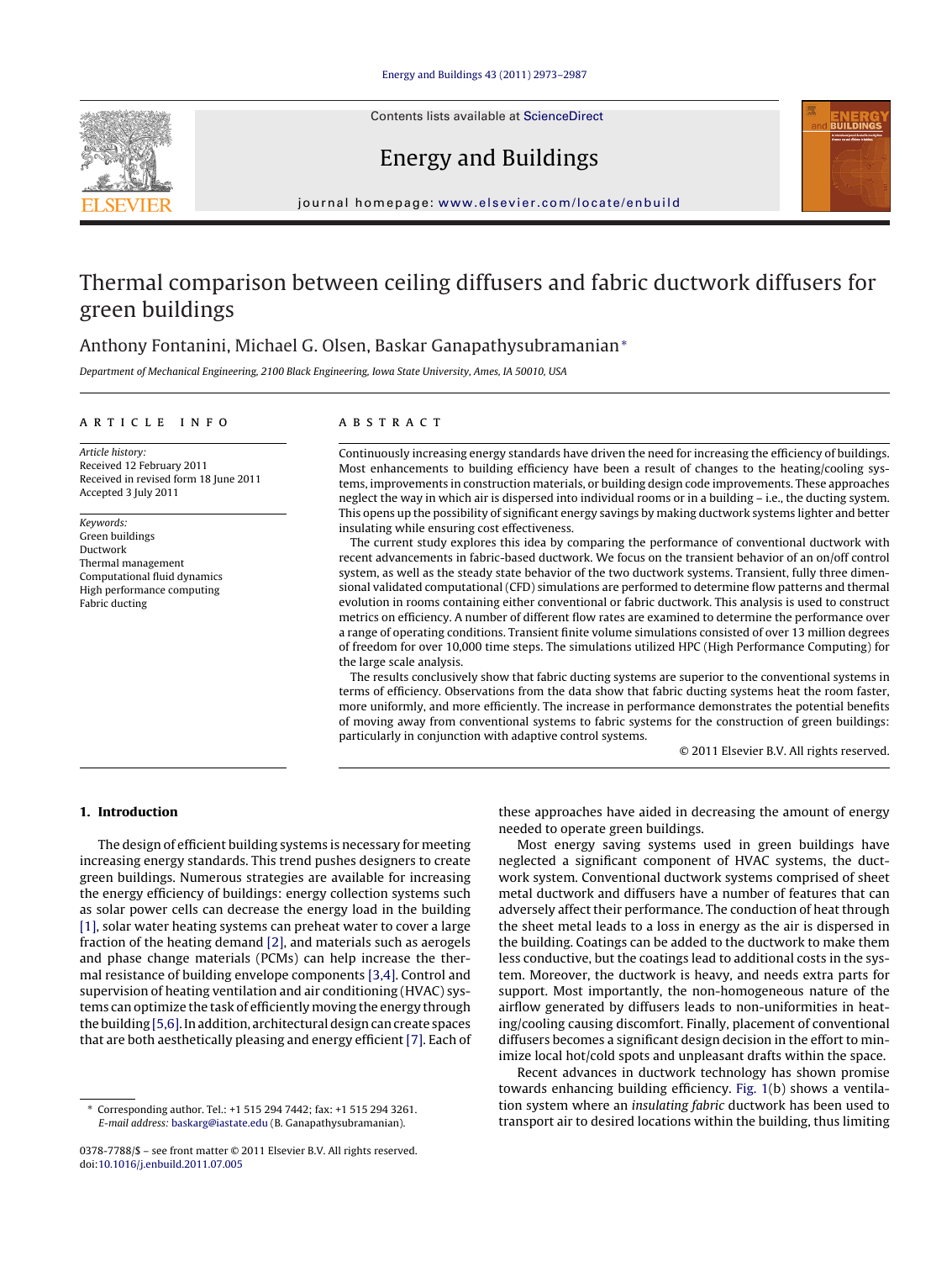Contents lists available at [ScienceDirect](http://www.sciencedirect.com/science/journal/03787788)





## Energy and Buildings

iournal homepage: [www.elsevier.com/locate/enbuild](http://www.elsevier.com/locate/enbuild)

# Thermal comparison between ceiling diffusers and fabric ductwork diffusers for green buildings

## Anthony Fontanini, Michael G. Olsen, Baskar Ganapathysubramanian<sup>∗</sup>

Department of Mechanical Engineering, 2100 Black Engineering, Iowa State University, Ames, IA 50010, USA

### a r t i c l e i n f o

Article history: Received 12 February 2011 Received in revised form 18 June 2011 Accepted 3 July 2011

Keywords: Green buildings Ductwork Thermal management Computational fluid dynamics High performance computing Fabric ducting

## A B S T R A C T

Continuously increasing energy standards have driven the need for increasing the efficiency of buildings. Most enhancements to building efficiency have been a result of changes to the heating/cooling systems, improvements in construction materials, or building design code improvements. These approaches neglect the way in which air is dispersed into individual rooms or in a building – i.e., the ducting system. This opens up the possibility of significant energy savings by making ductwork systems lighter and better insulating while ensuring cost effectiveness.

The current study explores this idea by comparing the performance of conventional ductwork with recent advancements in fabric-based ductwork. We focus on the transient behavior of an on/off control system, as well as the steady state behavior of the two ductwork systems. Transient, fully three dimensional validated computational (CFD) simulations are performed to determine flow patterns and thermal evolution in rooms containing either conventional or fabric ductwork. This analysis is used to construct metrics on efficiency. A number of different flow rates are examined to determine the performance over a range of operating conditions. Transient finite volume simulations consisted of over 13 million degrees of freedom for over 10,000 time steps. The simulations utilized HPC (High Performance Computing) for the large scale analysis.

The results conclusively show that fabric ducting systems are superior to the conventional systems in terms of efficiency. Observations from the data show that fabric ducting systems heat the room faster, more uniformly, and more efficiently. The increase in performance demonstrates the potential benefits of moving away from conventional systems to fabric systems for the construction of green buildings: particularly in conjunction with adaptive control systems.

© 2011 Elsevier B.V. All rights reserved.

## **1. Introduction**

The design of efficient building systems is necessary for meeting increasing energy standards. This trend pushes designers to create green buildings. Numerous strategies are available for increasing the energy efficiency of buildings: energy collection systems such as solar power cells can decrease the energy load in the building [\[1\],](#page--1-0) solar water heating systems can preheat water to cover a large fraction of the heating demand [\[2\],](#page--1-0) and materials such as aerogels and phase change materials (PCMs) can help increase the thermal resistance of building envelope components [\[3,4\].](#page--1-0) Control and supervision of heating ventilation and air conditioning (HVAC) systems can optimize the task of efficiently moving the energy through the building  $[5,6]$ . In addition, architectural design can create spaces that are both aesthetically pleasing and energy efficient [\[7\].](#page--1-0) Each of these approaches have aided in decreasing the amount of energy needed to operate green buildings.

Most energy saving systems used in green buildings have neglected a significant component of HVAC systems, the ductwork system. Conventional ductwork systems comprised of sheet metal ductwork and diffusers have a number of features that can adversely affect their performance. The conduction of heat through the sheet metal leads to a loss in energy as the air is dispersed in the building. Coatings can be added to the ductwork to make them less conductive, but the coatings lead to additional costs in the system. Moreover, the ductwork is heavy, and needs extra parts for support. Most importantly, the non-homogeneous nature of the airflow generated by diffusers leads to non-uniformities in heating/cooling causing discomfort. Finally, placement of conventional diffusers becomes a significant design decision in the effort to minimize local hot/cold spots and unpleasant drafts within the space.

Recent advances in ductwork technology has shown promise towards enhancing building efficiency. [Fig.](#page-1-0) 1(b) shows a ventilation system where an insulating fabric ductwork has been used to transport air to desired locations within the building, thus limiting

<sup>∗</sup> Corresponding author. Tel.: +1 515 294 7442; fax: +1 515 294 3261. E-mail address: [baskarg@iastate.edu](mailto:baskarg@iastate.edu) (B. Ganapathysubramanian).

<sup>0378-7788/\$</sup> – see front matter © 2011 Elsevier B.V. All rights reserved. doi:[10.1016/j.enbuild.2011.07.005](dx.doi.org/10.1016/j.enbuild.2011.07.005)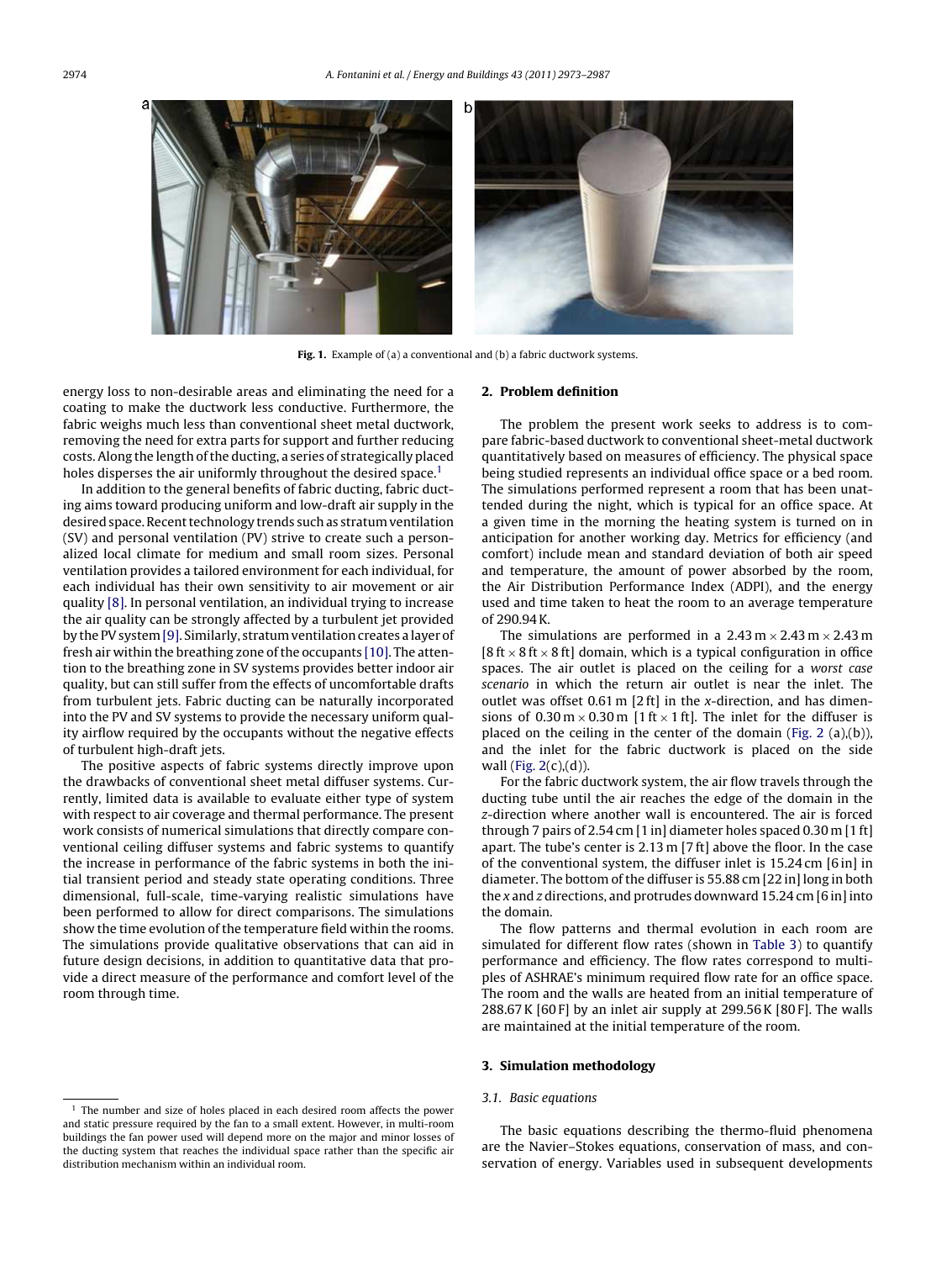<span id="page-1-0"></span>

**Fig. 1.** Example of (a) a conventional and (b) a fabric ductwork systems.

energy loss to non-desirable areas and eliminating the need for a coating to make the ductwork less conductive. Furthermore, the fabric weighs much less than conventional sheet metal ductwork, removing the need for extra parts for support and further reducing costs. Along the length of the ducting, a series of strategically placed holes disperses the air uniformly throughout the desired space.<sup>1</sup>

In addition to the general benefits of fabric ducting, fabric ducting aims toward producing uniform and low-draft air supply in the desired space. Recent technology trends such as stratum ventilation (SV) and personal ventilation (PV) strive to create such a personalized local climate for medium and small room sizes. Personal ventilation provides a tailored environment for each individual, for each individual has their own sensitivity to air movement or air quality [\[8\].](#page--1-0) In personal ventilation, an individual trying to increase the air quality can be strongly affected by a turbulent jet provided by the PV system [\[9\].](#page--1-0) Similarly, stratum ventilation creates a layer of fresh air within the breathing zone of the occupants [\[10\].](#page--1-0) The attention to the breathing zone in SV systems provides better indoor air quality, but can still suffer from the effects of uncomfortable drafts from turbulent jets. Fabric ducting can be naturally incorporated into the PV and SV systems to provide the necessary uniform quality airflow required by the occupants without the negative effects of turbulent high-draft jets.

The positive aspects of fabric systems directly improve upon the drawbacks of conventional sheet metal diffuser systems. Currently, limited data is available to evaluate either type of system with respect to air coverage and thermal performance. The present work consists of numerical simulations that directly compare conventional ceiling diffuser systems and fabric systems to quantify the increase in performance of the fabric systems in both the initial transient period and steady state operating conditions. Three dimensional, full-scale, time-varying realistic simulations have been performed to allow for direct comparisons. The simulations show the time evolution of the temperature field within the rooms. The simulations provide qualitative observations that can aid in future design decisions, in addition to quantitative data that provide a direct measure of the performance and comfort level of the room through time.

#### **2. Problem definition**

The problem the present work seeks to address is to compare fabric-based ductwork to conventional sheet-metal ductwork quantitatively based on measures of efficiency. The physical space being studied represents an individual office space or a bed room. The simulations performed represent a room that has been unattended during the night, which is typical for an office space. At a given time in the morning the heating system is turned on in anticipation for another working day. Metrics for efficiency (and comfort) include mean and standard deviation of both air speed and temperature, the amount of power absorbed by the room, the Air Distribution Performance Index (ADPI), and the energy used and time taken to heat the room to an average temperature of 290.94K.

The simulations are performed in a  $2.43 \text{ m} \times 2.43 \text{ m} \times 2.43 \text{ m}$ [8 ft  $\times$  8 ft  $\times$  8 ft] domain, which is a typical configuration in office spaces. The air outlet is placed on the ceiling for a worst case scenario in which the return air outlet is near the inlet. The outlet was offset 0.61 m [2 ft] in the x-direction, and has dimensions of  $0.30 \text{ m} \times 0.30 \text{ m}$  [1 ft  $\times$  1 ft]. The inlet for the diffuser is placed on the ceiling in the center of the domain ([Fig.](#page--1-0) 2 (a),(b)), and the inlet for the fabric ductwork is placed on the side wall ([Fig.](#page--1-0)  $2(c)$ , $(d)$ ).

For the fabric ductwork system, the air flow travels through the ducting tube until the air reaches the edge of the domain in the z-direction where another wall is encountered. The air is forced through 7 pairs of 2.54 cm [1 in] diameter holes spaced 0.30 m [1 ft] apart. The tube's center is 2.13 m [7 ft] above the floor. In the case of the conventional system, the diffuser inlet is 15.24 cm [6 in] in diameter. The bottom of the diffuser is 55.88 cm [22 in] long in both the x and z directions, and protrudes downward 15.24 cm [6 in] into the domain.

The flow patterns and thermal evolution in each room are simulated for different flow rates (shown in [Table](#page--1-0) 3) to quantify performance and efficiency. The flow rates correspond to multiples of ASHRAE's minimum required flow rate for an office space. The room and the walls are heated from an initial temperature of 288.67K [60 F] by an inlet air supply at 299.56K [80 F]. The walls are maintained at the initial temperature of the room.

#### **3. Simulation methodology**

#### 3.1. Basic equations

The basic equations describing the thermo-fluid phenomena are the Navier–Stokes equations, conservation of mass, and conservation of energy. Variables used in subsequent developments

 $1$  The number and size of holes placed in each desired room affects the power and static pressure required by the fan to a small extent. However, in multi-room buildings the fan power used will depend more on the major and minor losses of the ducting system that reaches the individual space rather than the specific air distribution mechanism within an individual room.